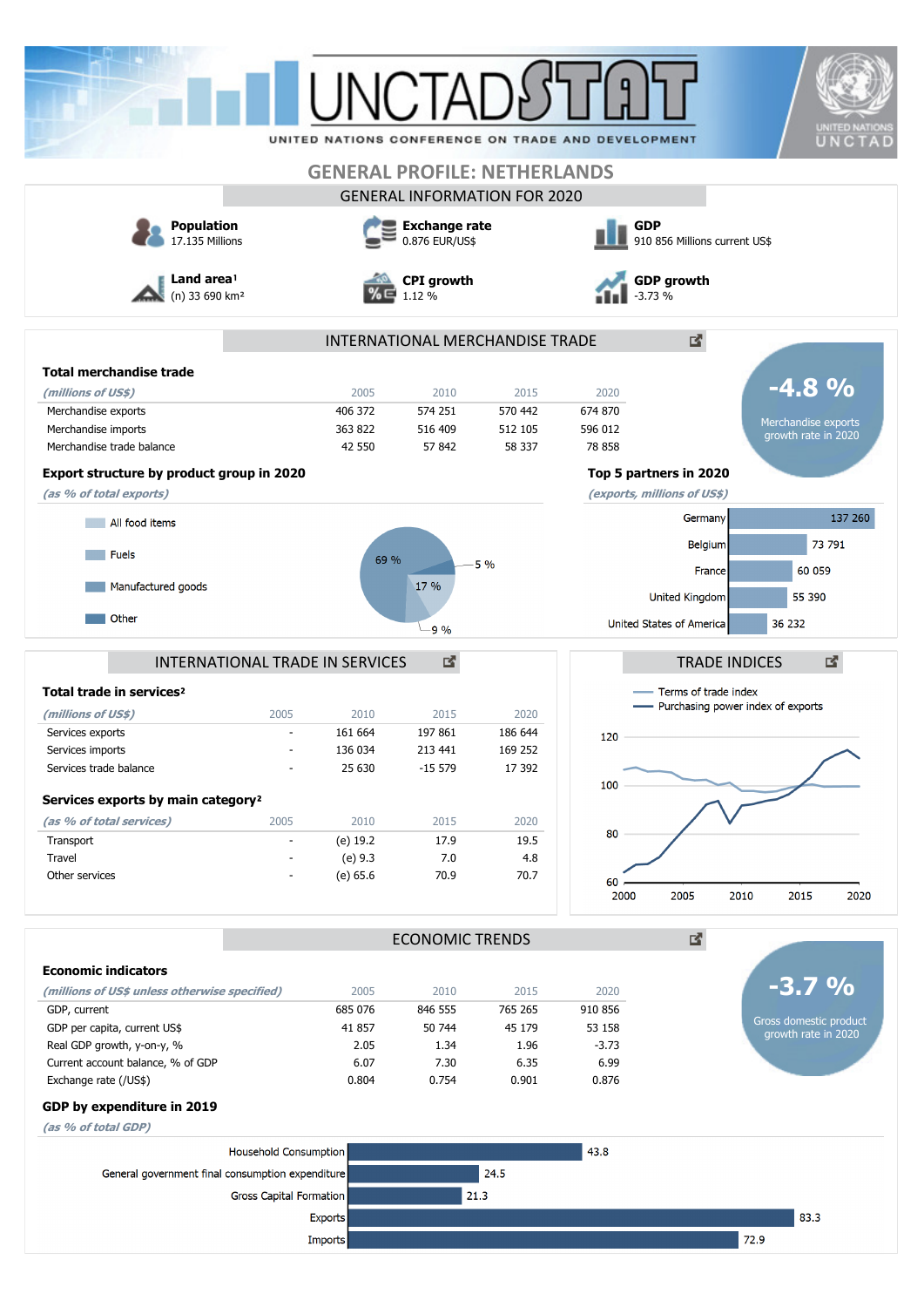| 17.135 Millions<br>0.876 EUR/US\$<br>910 856 Millions current US\$<br>Land area <sup>1</sup><br><b>CPI</b> growth<br><b>GDP</b> growth<br>(n) 33 690 km <sup>2</sup><br>1.12 %<br>3.73 %<br>₫.<br>INTERNATIONAL MERCHANDISE TRADE<br><b>Total merchandise trade</b><br>$-4.8\%$<br>2010<br>2020<br>2005<br>2015<br>(millions of US\$)<br>406 372<br>574 251<br>570 442<br>674 870<br>Merchandise exports<br>Merchandise exports<br>Merchandise imports<br>363 822<br>516 409<br>512 105<br>596 012<br>42 550<br>57 842<br>58 337<br>78 858<br>Merchandise trade balance<br>Export structure by product group in 2020<br>Top 5 partners in 2020<br>(as % of total exports)<br>(exports, millions of US\$)<br>Germany<br>All food items<br>73 791<br>Belgium<br>Fuels<br>69 %<br>$5\%$<br>60 059<br>Francel<br>17 %<br>Manufactured goods<br>55 390<br>United Kingdom<br>Other<br>United States of America<br>36 232<br>-9 %<br>國<br>國<br>INTERNATIONAL TRADE IN SERVICES<br><b>TRADE INDICES</b><br>Terms of trade index<br>Total trade in services <sup>2</sup><br>- Purchasing power index of exports<br>(millions of US\$)<br>2005<br>2010<br>2015<br>2020<br>197 861<br>161 664<br>186 644<br>Services exports<br>$\overline{a}$<br>120<br>Services imports<br>136 034<br>213 441<br>169 252<br>$-15579$<br>17 392<br>Services trade balance<br>25 630<br>100<br>Services exports by main category <sup>2</sup><br>(as % of total services)<br>2005<br>2010<br>2015<br>2020<br>80<br>Transport<br>$(e)$ 19.2<br>17.9<br>19.5<br>$\overline{\phantom{a}}$<br>Travel<br>(e) 9.3<br>7.0<br>4.8<br>70.7<br>Other services<br>(e) 65.6<br>70.9<br>60<br>2000<br>2005<br>2010<br>2015<br>凶.<br><b>ECONOMIC TRENDS</b><br><b>Economic indicators</b><br>(millions of US\$ unless otherwise specified)<br>2005<br>2010<br>2015<br>2020<br>685 076<br>846 555<br>765 265<br>910 856<br>GDP, current<br>GDP per capita, current US\$<br>41 857<br>50 744<br>45 179<br>53 158<br>Real GDP growth, y-on-y, %<br>$-3.73$<br>2.05<br>1.34<br>1.96<br>6.35<br>6.99<br>Current account balance, % of GDP<br>6.07<br>7.30<br>Exchange rate (/US\$)<br>0.804<br>0.754<br>0.901<br>0.876<br>GDP by expenditure in 2019<br>(as % of total GDP) | <b>Population</b>                                | <b>GENERAL PROFILE: NETHERLANDS</b> | <b>GDP</b>           |  |      |      |                                                       |  |
|-------------------------------------------------------------------------------------------------------------------------------------------------------------------------------------------------------------------------------------------------------------------------------------------------------------------------------------------------------------------------------------------------------------------------------------------------------------------------------------------------------------------------------------------------------------------------------------------------------------------------------------------------------------------------------------------------------------------------------------------------------------------------------------------------------------------------------------------------------------------------------------------------------------------------------------------------------------------------------------------------------------------------------------------------------------------------------------------------------------------------------------------------------------------------------------------------------------------------------------------------------------------------------------------------------------------------------------------------------------------------------------------------------------------------------------------------------------------------------------------------------------------------------------------------------------------------------------------------------------------------------------------------------------------------------------------------------------------------------------------------------------------------------------------------------------------------------------------------------------------------------------------------------------------------------------------------------------------------------------------------------------------------------------------------------------------------------------------------------------------------------------------------------------------------------------------------------------------------------|--------------------------------------------------|-------------------------------------|----------------------|--|------|------|-------------------------------------------------------|--|
|                                                                                                                                                                                                                                                                                                                                                                                                                                                                                                                                                                                                                                                                                                                                                                                                                                                                                                                                                                                                                                                                                                                                                                                                                                                                                                                                                                                                                                                                                                                                                                                                                                                                                                                                                                                                                                                                                                                                                                                                                                                                                                                                                                                                                               |                                                  |                                     | <b>Exchange rate</b> |  |      |      |                                                       |  |
|                                                                                                                                                                                                                                                                                                                                                                                                                                                                                                                                                                                                                                                                                                                                                                                                                                                                                                                                                                                                                                                                                                                                                                                                                                                                                                                                                                                                                                                                                                                                                                                                                                                                                                                                                                                                                                                                                                                                                                                                                                                                                                                                                                                                                               |                                                  |                                     |                      |  |      |      |                                                       |  |
|                                                                                                                                                                                                                                                                                                                                                                                                                                                                                                                                                                                                                                                                                                                                                                                                                                                                                                                                                                                                                                                                                                                                                                                                                                                                                                                                                                                                                                                                                                                                                                                                                                                                                                                                                                                                                                                                                                                                                                                                                                                                                                                                                                                                                               |                                                  |                                     |                      |  |      |      |                                                       |  |
|                                                                                                                                                                                                                                                                                                                                                                                                                                                                                                                                                                                                                                                                                                                                                                                                                                                                                                                                                                                                                                                                                                                                                                                                                                                                                                                                                                                                                                                                                                                                                                                                                                                                                                                                                                                                                                                                                                                                                                                                                                                                                                                                                                                                                               |                                                  |                                     |                      |  |      |      |                                                       |  |
|                                                                                                                                                                                                                                                                                                                                                                                                                                                                                                                                                                                                                                                                                                                                                                                                                                                                                                                                                                                                                                                                                                                                                                                                                                                                                                                                                                                                                                                                                                                                                                                                                                                                                                                                                                                                                                                                                                                                                                                                                                                                                                                                                                                                                               |                                                  |                                     |                      |  |      |      |                                                       |  |
|                                                                                                                                                                                                                                                                                                                                                                                                                                                                                                                                                                                                                                                                                                                                                                                                                                                                                                                                                                                                                                                                                                                                                                                                                                                                                                                                                                                                                                                                                                                                                                                                                                                                                                                                                                                                                                                                                                                                                                                                                                                                                                                                                                                                                               |                                                  |                                     |                      |  |      |      |                                                       |  |
|                                                                                                                                                                                                                                                                                                                                                                                                                                                                                                                                                                                                                                                                                                                                                                                                                                                                                                                                                                                                                                                                                                                                                                                                                                                                                                                                                                                                                                                                                                                                                                                                                                                                                                                                                                                                                                                                                                                                                                                                                                                                                                                                                                                                                               |                                                  |                                     |                      |  |      |      | growth rate in 2020                                   |  |
|                                                                                                                                                                                                                                                                                                                                                                                                                                                                                                                                                                                                                                                                                                                                                                                                                                                                                                                                                                                                                                                                                                                                                                                                                                                                                                                                                                                                                                                                                                                                                                                                                                                                                                                                                                                                                                                                                                                                                                                                                                                                                                                                                                                                                               |                                                  |                                     |                      |  |      |      |                                                       |  |
|                                                                                                                                                                                                                                                                                                                                                                                                                                                                                                                                                                                                                                                                                                                                                                                                                                                                                                                                                                                                                                                                                                                                                                                                                                                                                                                                                                                                                                                                                                                                                                                                                                                                                                                                                                                                                                                                                                                                                                                                                                                                                                                                                                                                                               |                                                  |                                     |                      |  |      |      |                                                       |  |
|                                                                                                                                                                                                                                                                                                                                                                                                                                                                                                                                                                                                                                                                                                                                                                                                                                                                                                                                                                                                                                                                                                                                                                                                                                                                                                                                                                                                                                                                                                                                                                                                                                                                                                                                                                                                                                                                                                                                                                                                                                                                                                                                                                                                                               |                                                  |                                     |                      |  |      |      |                                                       |  |
|                                                                                                                                                                                                                                                                                                                                                                                                                                                                                                                                                                                                                                                                                                                                                                                                                                                                                                                                                                                                                                                                                                                                                                                                                                                                                                                                                                                                                                                                                                                                                                                                                                                                                                                                                                                                                                                                                                                                                                                                                                                                                                                                                                                                                               |                                                  |                                     |                      |  |      |      | 137 260                                               |  |
|                                                                                                                                                                                                                                                                                                                                                                                                                                                                                                                                                                                                                                                                                                                                                                                                                                                                                                                                                                                                                                                                                                                                                                                                                                                                                                                                                                                                                                                                                                                                                                                                                                                                                                                                                                                                                                                                                                                                                                                                                                                                                                                                                                                                                               |                                                  |                                     |                      |  |      |      |                                                       |  |
|                                                                                                                                                                                                                                                                                                                                                                                                                                                                                                                                                                                                                                                                                                                                                                                                                                                                                                                                                                                                                                                                                                                                                                                                                                                                                                                                                                                                                                                                                                                                                                                                                                                                                                                                                                                                                                                                                                                                                                                                                                                                                                                                                                                                                               |                                                  |                                     |                      |  |      |      |                                                       |  |
|                                                                                                                                                                                                                                                                                                                                                                                                                                                                                                                                                                                                                                                                                                                                                                                                                                                                                                                                                                                                                                                                                                                                                                                                                                                                                                                                                                                                                                                                                                                                                                                                                                                                                                                                                                                                                                                                                                                                                                                                                                                                                                                                                                                                                               |                                                  |                                     |                      |  |      |      |                                                       |  |
|                                                                                                                                                                                                                                                                                                                                                                                                                                                                                                                                                                                                                                                                                                                                                                                                                                                                                                                                                                                                                                                                                                                                                                                                                                                                                                                                                                                                                                                                                                                                                                                                                                                                                                                                                                                                                                                                                                                                                                                                                                                                                                                                                                                                                               |                                                  |                                     |                      |  |      |      |                                                       |  |
|                                                                                                                                                                                                                                                                                                                                                                                                                                                                                                                                                                                                                                                                                                                                                                                                                                                                                                                                                                                                                                                                                                                                                                                                                                                                                                                                                                                                                                                                                                                                                                                                                                                                                                                                                                                                                                                                                                                                                                                                                                                                                                                                                                                                                               |                                                  |                                     |                      |  |      |      |                                                       |  |
|                                                                                                                                                                                                                                                                                                                                                                                                                                                                                                                                                                                                                                                                                                                                                                                                                                                                                                                                                                                                                                                                                                                                                                                                                                                                                                                                                                                                                                                                                                                                                                                                                                                                                                                                                                                                                                                                                                                                                                                                                                                                                                                                                                                                                               |                                                  |                                     |                      |  |      |      |                                                       |  |
|                                                                                                                                                                                                                                                                                                                                                                                                                                                                                                                                                                                                                                                                                                                                                                                                                                                                                                                                                                                                                                                                                                                                                                                                                                                                                                                                                                                                                                                                                                                                                                                                                                                                                                                                                                                                                                                                                                                                                                                                                                                                                                                                                                                                                               |                                                  |                                     |                      |  |      |      |                                                       |  |
|                                                                                                                                                                                                                                                                                                                                                                                                                                                                                                                                                                                                                                                                                                                                                                                                                                                                                                                                                                                                                                                                                                                                                                                                                                                                                                                                                                                                                                                                                                                                                                                                                                                                                                                                                                                                                                                                                                                                                                                                                                                                                                                                                                                                                               |                                                  |                                     |                      |  |      |      |                                                       |  |
|                                                                                                                                                                                                                                                                                                                                                                                                                                                                                                                                                                                                                                                                                                                                                                                                                                                                                                                                                                                                                                                                                                                                                                                                                                                                                                                                                                                                                                                                                                                                                                                                                                                                                                                                                                                                                                                                                                                                                                                                                                                                                                                                                                                                                               |                                                  |                                     |                      |  |      |      |                                                       |  |
|                                                                                                                                                                                                                                                                                                                                                                                                                                                                                                                                                                                                                                                                                                                                                                                                                                                                                                                                                                                                                                                                                                                                                                                                                                                                                                                                                                                                                                                                                                                                                                                                                                                                                                                                                                                                                                                                                                                                                                                                                                                                                                                                                                                                                               |                                                  |                                     |                      |  |      |      |                                                       |  |
|                                                                                                                                                                                                                                                                                                                                                                                                                                                                                                                                                                                                                                                                                                                                                                                                                                                                                                                                                                                                                                                                                                                                                                                                                                                                                                                                                                                                                                                                                                                                                                                                                                                                                                                                                                                                                                                                                                                                                                                                                                                                                                                                                                                                                               |                                                  |                                     |                      |  |      |      |                                                       |  |
|                                                                                                                                                                                                                                                                                                                                                                                                                                                                                                                                                                                                                                                                                                                                                                                                                                                                                                                                                                                                                                                                                                                                                                                                                                                                                                                                                                                                                                                                                                                                                                                                                                                                                                                                                                                                                                                                                                                                                                                                                                                                                                                                                                                                                               |                                                  |                                     |                      |  |      |      |                                                       |  |
|                                                                                                                                                                                                                                                                                                                                                                                                                                                                                                                                                                                                                                                                                                                                                                                                                                                                                                                                                                                                                                                                                                                                                                                                                                                                                                                                                                                                                                                                                                                                                                                                                                                                                                                                                                                                                                                                                                                                                                                                                                                                                                                                                                                                                               |                                                  |                                     |                      |  |      |      |                                                       |  |
|                                                                                                                                                                                                                                                                                                                                                                                                                                                                                                                                                                                                                                                                                                                                                                                                                                                                                                                                                                                                                                                                                                                                                                                                                                                                                                                                                                                                                                                                                                                                                                                                                                                                                                                                                                                                                                                                                                                                                                                                                                                                                                                                                                                                                               |                                                  |                                     |                      |  |      |      |                                                       |  |
|                                                                                                                                                                                                                                                                                                                                                                                                                                                                                                                                                                                                                                                                                                                                                                                                                                                                                                                                                                                                                                                                                                                                                                                                                                                                                                                                                                                                                                                                                                                                                                                                                                                                                                                                                                                                                                                                                                                                                                                                                                                                                                                                                                                                                               |                                                  |                                     |                      |  |      |      |                                                       |  |
|                                                                                                                                                                                                                                                                                                                                                                                                                                                                                                                                                                                                                                                                                                                                                                                                                                                                                                                                                                                                                                                                                                                                                                                                                                                                                                                                                                                                                                                                                                                                                                                                                                                                                                                                                                                                                                                                                                                                                                                                                                                                                                                                                                                                                               |                                                  |                                     |                      |  |      |      |                                                       |  |
|                                                                                                                                                                                                                                                                                                                                                                                                                                                                                                                                                                                                                                                                                                                                                                                                                                                                                                                                                                                                                                                                                                                                                                                                                                                                                                                                                                                                                                                                                                                                                                                                                                                                                                                                                                                                                                                                                                                                                                                                                                                                                                                                                                                                                               |                                                  |                                     |                      |  |      |      |                                                       |  |
|                                                                                                                                                                                                                                                                                                                                                                                                                                                                                                                                                                                                                                                                                                                                                                                                                                                                                                                                                                                                                                                                                                                                                                                                                                                                                                                                                                                                                                                                                                                                                                                                                                                                                                                                                                                                                                                                                                                                                                                                                                                                                                                                                                                                                               |                                                  |                                     |                      |  |      |      |                                                       |  |
|                                                                                                                                                                                                                                                                                                                                                                                                                                                                                                                                                                                                                                                                                                                                                                                                                                                                                                                                                                                                                                                                                                                                                                                                                                                                                                                                                                                                                                                                                                                                                                                                                                                                                                                                                                                                                                                                                                                                                                                                                                                                                                                                                                                                                               |                                                  |                                     |                      |  |      |      |                                                       |  |
|                                                                                                                                                                                                                                                                                                                                                                                                                                                                                                                                                                                                                                                                                                                                                                                                                                                                                                                                                                                                                                                                                                                                                                                                                                                                                                                                                                                                                                                                                                                                                                                                                                                                                                                                                                                                                                                                                                                                                                                                                                                                                                                                                                                                                               |                                                  |                                     |                      |  |      |      |                                                       |  |
|                                                                                                                                                                                                                                                                                                                                                                                                                                                                                                                                                                                                                                                                                                                                                                                                                                                                                                                                                                                                                                                                                                                                                                                                                                                                                                                                                                                                                                                                                                                                                                                                                                                                                                                                                                                                                                                                                                                                                                                                                                                                                                                                                                                                                               |                                                  |                                     |                      |  |      |      | $-3.7\%$                                              |  |
|                                                                                                                                                                                                                                                                                                                                                                                                                                                                                                                                                                                                                                                                                                                                                                                                                                                                                                                                                                                                                                                                                                                                                                                                                                                                                                                                                                                                                                                                                                                                                                                                                                                                                                                                                                                                                                                                                                                                                                                                                                                                                                                                                                                                                               |                                                  |                                     |                      |  |      |      |                                                       |  |
|                                                                                                                                                                                                                                                                                                                                                                                                                                                                                                                                                                                                                                                                                                                                                                                                                                                                                                                                                                                                                                                                                                                                                                                                                                                                                                                                                                                                                                                                                                                                                                                                                                                                                                                                                                                                                                                                                                                                                                                                                                                                                                                                                                                                                               |                                                  |                                     |                      |  |      |      |                                                       |  |
|                                                                                                                                                                                                                                                                                                                                                                                                                                                                                                                                                                                                                                                                                                                                                                                                                                                                                                                                                                                                                                                                                                                                                                                                                                                                                                                                                                                                                                                                                                                                                                                                                                                                                                                                                                                                                                                                                                                                                                                                                                                                                                                                                                                                                               |                                                  |                                     |                      |  |      |      |                                                       |  |
|                                                                                                                                                                                                                                                                                                                                                                                                                                                                                                                                                                                                                                                                                                                                                                                                                                                                                                                                                                                                                                                                                                                                                                                                                                                                                                                                                                                                                                                                                                                                                                                                                                                                                                                                                                                                                                                                                                                                                                                                                                                                                                                                                                                                                               |                                                  |                                     |                      |  |      |      |                                                       |  |
|                                                                                                                                                                                                                                                                                                                                                                                                                                                                                                                                                                                                                                                                                                                                                                                                                                                                                                                                                                                                                                                                                                                                                                                                                                                                                                                                                                                                                                                                                                                                                                                                                                                                                                                                                                                                                                                                                                                                                                                                                                                                                                                                                                                                                               |                                                  |                                     |                      |  |      |      |                                                       |  |
|                                                                                                                                                                                                                                                                                                                                                                                                                                                                                                                                                                                                                                                                                                                                                                                                                                                                                                                                                                                                                                                                                                                                                                                                                                                                                                                                                                                                                                                                                                                                                                                                                                                                                                                                                                                                                                                                                                                                                                                                                                                                                                                                                                                                                               |                                                  |                                     |                      |  |      |      | 2020<br>Gross domestic product<br>growth rate in 2020 |  |
|                                                                                                                                                                                                                                                                                                                                                                                                                                                                                                                                                                                                                                                                                                                                                                                                                                                                                                                                                                                                                                                                                                                                                                                                                                                                                                                                                                                                                                                                                                                                                                                                                                                                                                                                                                                                                                                                                                                                                                                                                                                                                                                                                                                                                               | General government final consumption expenditure | Household Consumption               |                      |  | 24.5 | 43.8 |                                                       |  |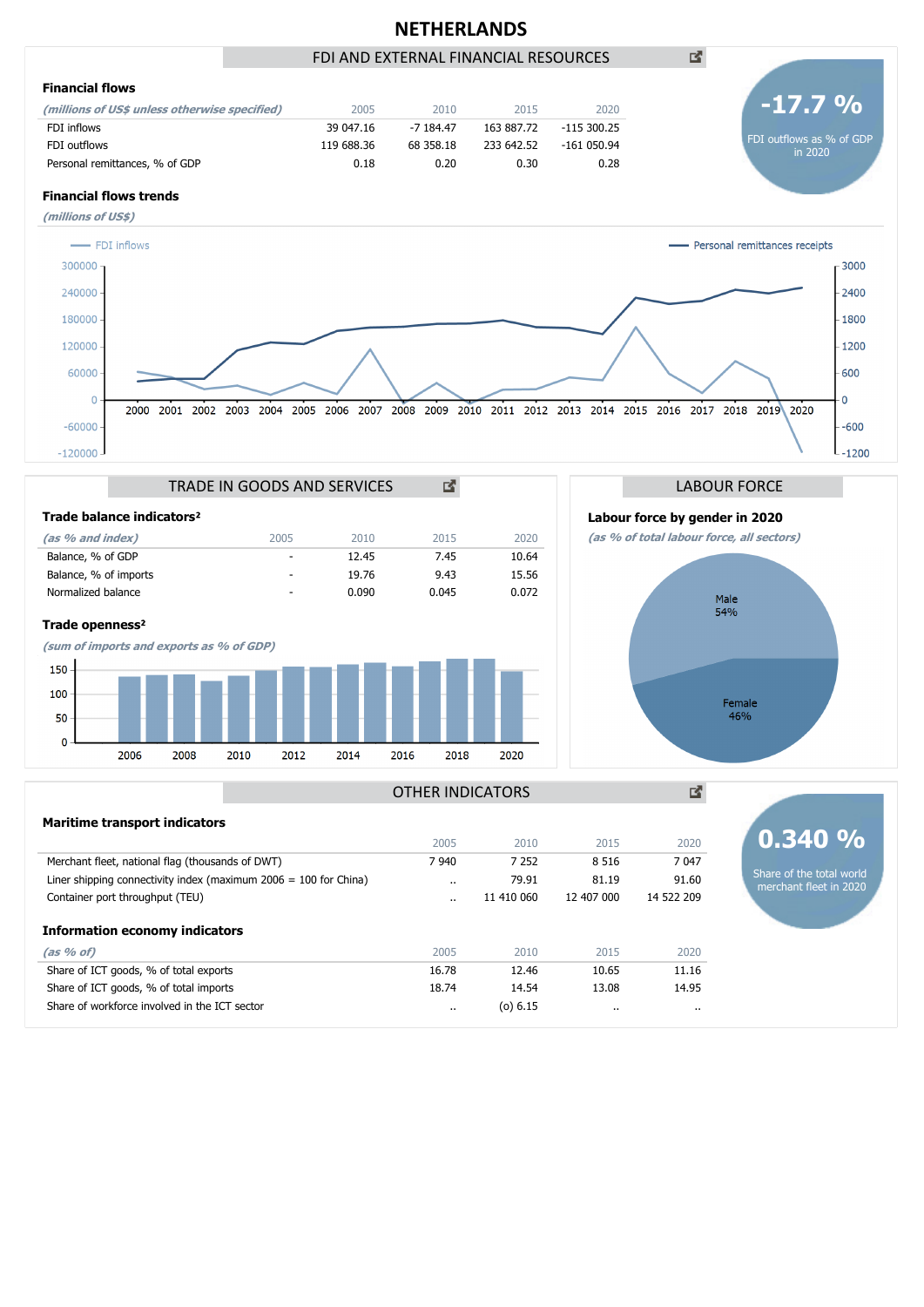# **NETHERLANDS**

### FDI AND EXTERNAL FINANCIAL RESOURCES











國

**0.340 %**

Share of the total world merchant fleet in 2020

# OTHER INDICATORS

| <b>Maritime transport indicators</b>                               |                      |              |            |            |
|--------------------------------------------------------------------|----------------------|--------------|------------|------------|
|                                                                    | 2005                 | 2010         | 2015       | 2020       |
| Merchant fleet, national flag (thousands of DWT)                   | 7 9 4 0              | 7 2 5 2      | 8 5 1 6    | 7 0 4 7    |
| Liner shipping connectivity index (maximum $2006 = 100$ for China) | $\cdot$ .            | 79.91        | 81.19      | 91.60      |
| Container port throughput (TEU)                                    | $\ddot{\phantom{a}}$ | 11 410 060   | 12 407 000 | 14 522 209 |
| <b>Information economy indicators</b>                              |                      |              |            |            |
| (as 9/6 of)                                                        | 2005                 | 2010         | 2015       | 2020       |
| Share of ICT goods, % of total exports                             | 16.78                | 12.46        | 10.65      | 11.16      |
| Share of ICT goods, % of total imports                             | 18.74                | 14.54        | 13.08      | 14.95      |
| Share of workforce involved in the ICT sector                      | $\cdot$ .            | ( $o$ ) 6.15 |            | $\cdots$   |
|                                                                    |                      |              |            |            |